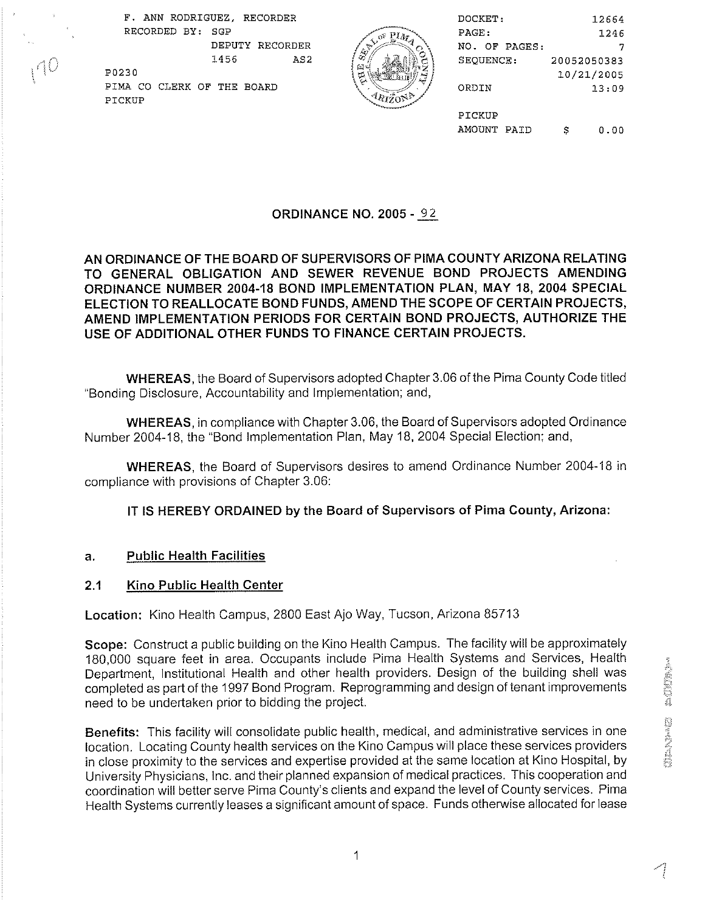F. ANN RODRIGUEZ, RECORDER RECORDED BY: SGP  $\sqrt{\sigma^2 P M}$  PAGE: 1246 DEPUTY RECORDER NO. OF PAGES: 7 - 1456 AS2 .,c # ', SEQUENCE : : \ **[L'**  PO230 10/21/2005

PIMA CO CLERK OF THE BOARD

PICKUP



| DOCKET:       | 12664       |  |
|---------------|-------------|--|
| PAGE:         | 1246        |  |
| NO. OF PAGES: |             |  |
| SEOUENCE :    | 20052050383 |  |
|               | 10/21/2005  |  |
| ORDIN         | 13:09       |  |
|               |             |  |
| PICKUP        |             |  |
| AMOUNT PAID   | 0.OD        |  |

# ORDINANCE NO. **2005** - 92

# AN ORDINANCE OF THE BOARD OF SUPERVISORS OF PlMA COUNTY ARIZONA RELATING TO GENERAL OBLIGATION AND SEWER REVENUE BOND PROJECTS AMENDING ORDINANCE NUMBER **2004-18** BOND IMPLEMENTATION PLAN, MAY **18, 2004** SPECIAL ELECTION TO REALLOCATE BOND FUNDS, AMEND THE SCOPE OF CERTAIN PROJECTS, AMEND IMPLEMENTATION PERIODS FOR CERTAIN BOND PROJECTS, AUTHORIZE THE USE OF ADDITIONAL OTHER FUNDS TO FINANCE CERTAIN PROJECTS.

WHEREAS, the Board of Supervisors adopted Chapter 3.06 of the Pima County Code titled "Bonding Disclosure, Accountability and Implementation; and,

WHEREAS, in compliance with Chapter 3.06, the Board of Supervisors adopted Ordinance Number 2004-18, the "Bond Implementation Plan, May 18, 2004 Special Election; and,

WHEREAS, the Board of Supervisors desires to amend Ordinance Number 2004-18 in compliance with provisions of Chapter 3.06:

# IT IS HEREBY ORDAINED by the Board of Supervisors of Pima County, Arizona:

# a. Public Health Facilities

#### **2.1** Kino Public Health Center

Location: Kino Health Campus, 2800 East Ajo Way, Tucson, Arizona 85713

Scope: Construct a public building on the Kino Health Campus. The facility will be approximately 180,000 square feet in area. Occupants include Pima Health Systems and Services, Health Department, Institutional Health and other health providers. Design of the building shell was completed as part of the 1997 Bond Program. Reprogramming and design of tenant improvements need to be undertaken prior to bidding the project.

Benefits: This facility will consolidate public health, medical, and administrative services in one locating County health services on the Kino Campus will place these services providers in close proximity to the services and expertise provided at the same location at Kino Hospital, by University Physicians, Inc. and their planned expansion of medical practices. This cooperation and coordination will better serve Pima County's clients and expand the level of County services. Pima Health Systems currently leases a significant amount of space. Funds otherwise allocated for lease

1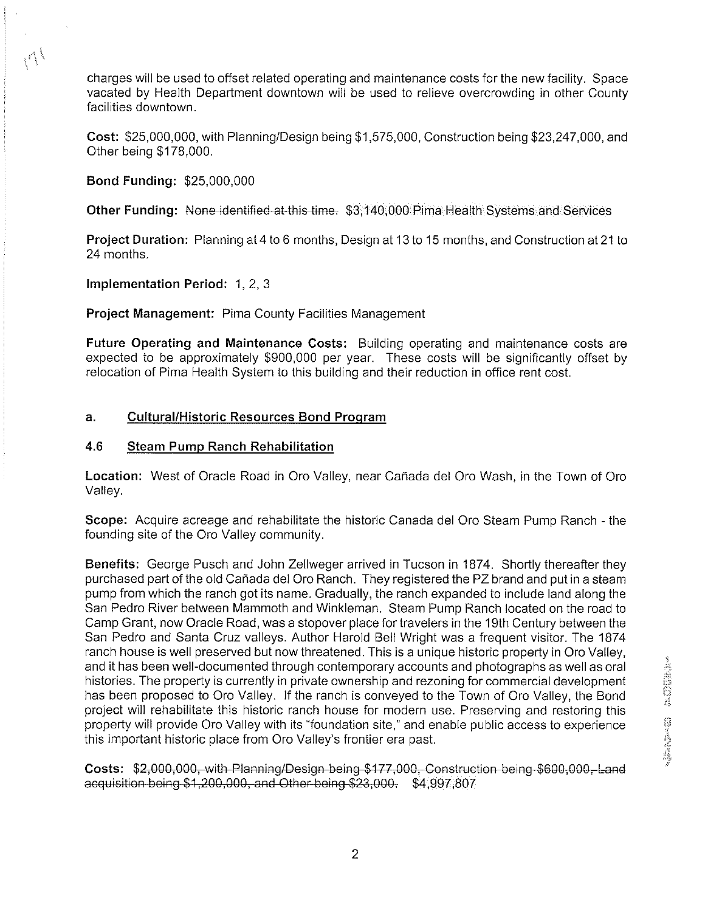charges will be used to offset related operating and maintenance costs for the new facility. Space vacated by Health Department downtown will be used to relieve overcrowding in other County facilities downtown. charges will be used to offset related operating and maintenance costs for the new facility. Spar<br>vacated by Health Department downtown will be used to relieve overcrowding in other Cour<br>facilities downtown.<br>**Cost:** \$25,00

**Cost:** \$25,000,000, with PlanninglDesign being \$1,575,000, Construction being \$23,247,000, and Other being \$1 78,000.

**Bond Funding:** \$25,000,000

**Project Duration:** Planning at 4 to 6 months, Design at 13 to 15 months, and Construction at 21 to 24 months.

**Implementation Period:** 1, 2, 3

**Project Management:** Pima County Facilities Management

**Future Operating and Maintenance Costs:** Building operating and maintenance costs are expected to be approximately \$900,000 per year. These costs will be significantly offset by relocation of Pima Health System to this building and their reduction in office rent cost.

# **a. CulturallHistoric Resources Bond Proqram**

# **4.6 Steam Pump Ranch Rehabilitation**

**Location:** West of Oracle Road in Oro Valley, near Cafiada del Oro Wash, in the Town of Oro Valley.

**Scope:** Acquire acreage and rehabilitate the historic Canada del Oro Steam Pump Ranch - the founding site of the Oro Valley community.

**Benefits:** George Pusch and John Zellweger arrived in Tucson in 1874. Shortly thereafter they purchased part of the old Cafiada del Oro Ranch. They registered the **PZ** brand and put in a steam pump from which the ranch got its name. Gradually, the ranch expanded to include land along the San Pedro River between Mammoth and Winkleman. Steam Pump Ranch located on the road to Camp Grant, now Oracle Road, was a stopover place for travelers in the 19th Century between the San Pedro and Santa Cruz valleys. Author Harold Bell Wright was a frequent visitor. The 1874 ranch house is well preserved but now threatened. This is a unique historic property in Oro Valley, and it has been well-documented through contemporary accounts and photographs as well as oral histories. The property is currently in private ownership and rezoning for commercial development has been proposed to Oro Valley. If the ranch is conveyed to the Town of Oro Valley, the Bond project will rehabilitate this historic ranch house for modern use. Preserving and restoring this property will provide Oro Valley with its "foundation site," and enable public access to experience this important historic place from Oro Valley's frontier era past.

**Costs: \$2,000,000, with Planning/Design being \$177,000. Construction being \$600,000. Land** acquisition being \$1,200,000, and Other being \$23,000. \$4,997,807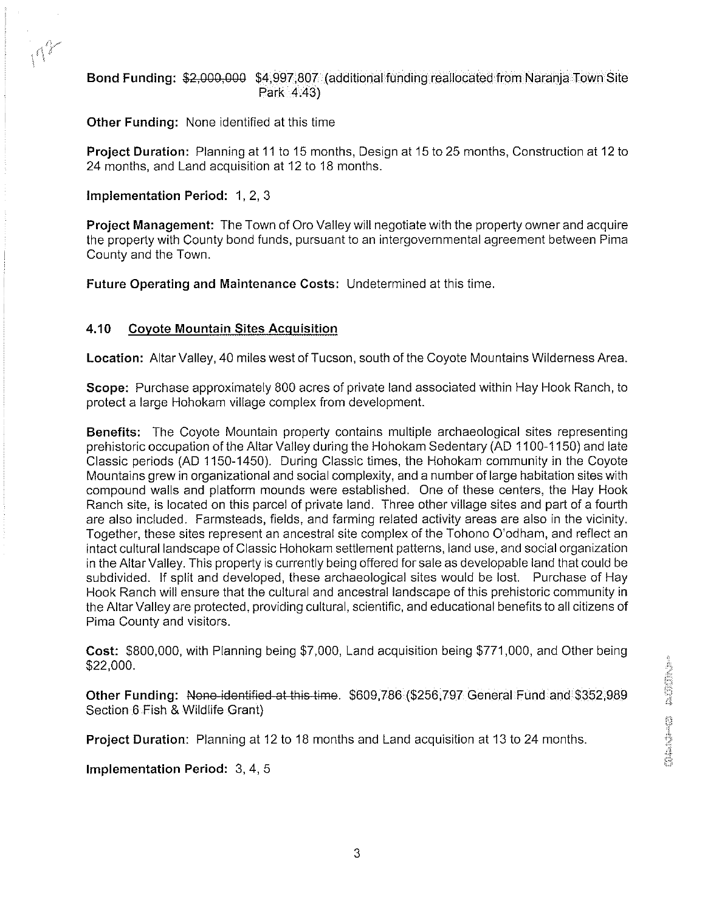# Bond Funding: \$2,000,000 \$4,997,807 (additional funding reallocated from Naranja Town Site Park 4.43)

Other Funding: None identified at this time

Project Duration: Planning at 11 to 15 months, Design at 15 to 25 months, Construction at 12 to 24 months, and Land acquisition at 12 to 18 months.

### Implementation Period: 1, 2, 3

 $\Lambda^2$ 

Project Management: The Town of Oro Valley will negotiate with the property owner and acquire the property with County bond funds, pursuant to an intergovernmental agreement between Pima County and the Town.

Future Operating and Maintenance Costs: Undetermined at this time.

# **4.10** Covote Mountain Sites Acquisition

Location: Altar Valley, 40 miles west of Tucson, south of the Coyote Mountains Wilderness Area.

Scope: Purchase approximately 800 acres of private land associated within Hay Hook Ranch, to protect a large Hohokam village complex from development.

Benefits: The Coyote Mountain property contains multiple archaeological sites representing prehistoric occupation of the Altar Valley during the Hohokam Sedentary (AD 1100-1 150) and late Classic periods (AD 1150-1450). During Classic times, the Hohokam community in the Coyote Mountains grew in organizational and social complexity, and a number of large habitation sites with compound walls and platform mounds were established. One of these centers, the Hay Hook Ranch site, is located on this parcel of private land. Three other village sites and part of a fourth are also included. Farmsteads, fields, and farming related activity areas are also in the vicinity. Together, these sites represent an ancestral site complex of the Tohono O'odham, and reflect an intact cultural landscape of Classic Hohokam settlement patterns, land use, and social organization in the Altar Valley. This property is currently being offered for sale as developable land that could be subdivided. If split and developed, these archaeological sites would be lost. Purchase of Hay Hook Ranch will ensure that the cultural and ancestral landscape of this prehistoric community in the Altar Valley are protected, providing cultural, scientific, and educational benefits to all citizens of Pima County and visitors.

Cost: \$800,000, with Planning being \$7,000, Land acquisition being \$771,000, and Other being \$22,000.

Other Funding: None-identified at this time. \$609,786 (\$256,797 General Fund and \$352,989 Section 6 Fish & Wildlife Grant)

Project Duration: Planning at 12 to 18 months and Land acquisition at 13 to 24 months

Implementation Period: 3,4, 5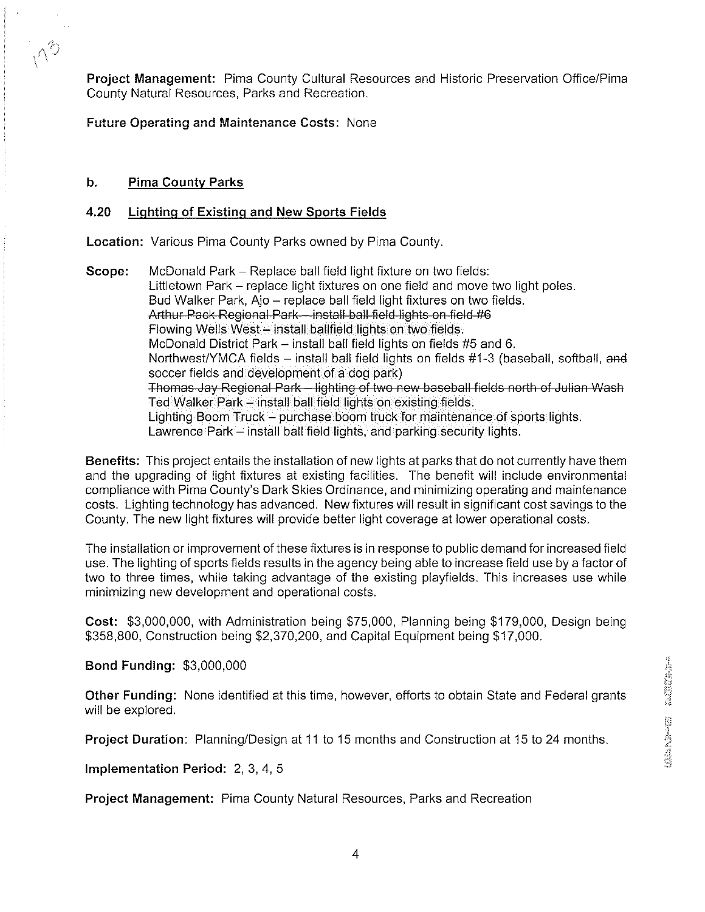**Project Management: Pima County Cultural Resources and Historic Preservation Office/Pima** County Natural Resources, Parks and Recreation.

Future Operating and Maintenance Costs: None

### b. Pima County Parks

 $\Lambda^2$ 

### 4.20 Lighting of Existing and New Sports Fields

Location: Various Pima County Parks owned by Pima County,

**Scope:** McDonald Park – Replace ball field light fixture on two fields: Littletown Park - replace light fixtures on one field and move two light poles. Bud Walker Park, Ajo – replace ball field light fixtures on two fields.<br>Arthur Pack Regional Park – install ball field lights on field #6 Flowing Wells West - install ballfield lights on two fields. McDonald District Park  $-$  install ball field lights on fields #5 and 6. Northwest/YMCA fields - install ball field lights on fields #1-3 (baseball, softball, and soccer fields and development of a dog park) Thomas Jay Regional Park – lighting of two new baseball fields north of Julian Wash<br>Ted Walker Park – install ball field lights on existing fields. Lighting Boom Truck - purchase boom truck for maintenance of sports lights. Lawrence Park - install ball field lights, and parking security lights.

Benefits: This project entails the installation of new lights at parks that do not currently have them and the upgrading of light fixtures at existing facilities. The benefit will include environmental compliance with Pima County's Dark Skies Ordinance, and minimizing operating and maintenance costs. Lighting technology has advanced. New fixtures will result in significant cost savings to the County. The new light fixtures will provide better light coverage at lower operational costs.

The installation or improvement of these fixtures is in response to public demand for increased field use. The lighting of sports fields results in the agency being able to increase field use by a factor of two to three times, while taking advantage of the existing playfields. This increases use while minimizing new development and operational costs.

Cost: \$3,000,000, with Administration being \$75,000, Planning being \$179,000, Design being \$358,800, Construction being \$2,370,200, and Capital Equipment being \$17,000.

Bond Funding: \$3,000,000

Other Funding: None identified at this time, however, efforts to obtain State and Federal grants will be explored.

**Project Duration:** Planning/Design at 11 to 15 months and Construction at 15 to 24 months.

Implementation Period: 2, 3, 4, 5

Project Management: Pima County Natural Resources, Parks and Recreation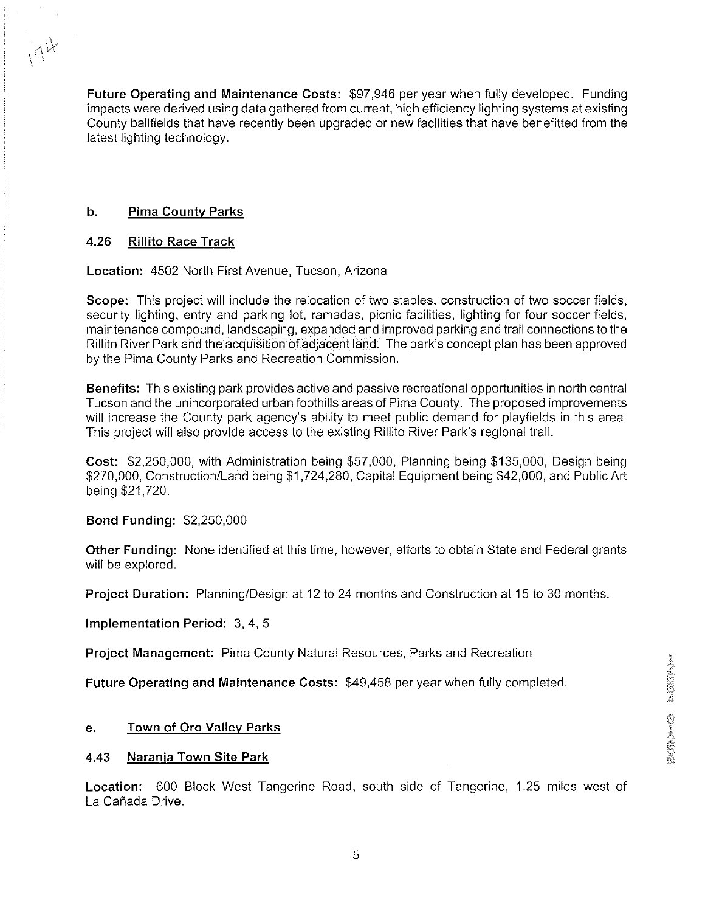Future Operating and Maintenance Costs: \$97,946 per year when fully developed. Funding impacts were derived using data gathered from current, high efficiency lighting systems at existing County ballfields that have recently been upgraded or new facilities that have benefitted from the latest lighting technology.

# **b.** Pima County Parks

 $n^k$ 

# **4.26** Rillito Race Track

Location: 4502 North First Avenue, Tucson, Arizona

Scope: This project will include the relocation of two stables, construction of two soccer fields, security lighting, entry and parking lot, ramadas, picnic facilities, lighting for four soccer fields, maintenance compound, landscaping, expanded and improved parking and trail connections to the Rillito River Park and the acquisition of adjacent land. The park's concept plan has been approved by the Pima County Parks and Recreation Commission.

Benefits: This existing park provides active and passive recreational opportunities in north central Tucson and the unincorporated urban foothills areas of Pima County. The proposed improvements will increase the County park agency's ability to meet public demand for playfields in this area. This project will also provide access to the existing Rillito River Park's regional trail.

Cost: \$2,250,000, with Administration being \$57,000, Planning being \$135,000, Design being \$270,000, ConstructionlLand being \$1,724,280, Capital Equipment being \$42,000, and Public Art being \$21,720.

# Bond Funding: \$2,250,000

Other Funding: None identified at this time, however, efforts to obtain State and Federal grants will be explored.

**Project Duration:** Planning/Design at 12 to 24 months and Construction at 15 to 30 months.

implementation Period: 3, 4, 5

Project Management: Pima County Natural Resources, Parks and Recreation

Future Operating and Maintenance Costs: \$49,458 per year when fully completed.

# e. Town of Oro Vallev Parks

#### **4.43** Narania Town Site Park

Location: 600 Block West Tangerine Road, south side of Tangerine, 1.25 miles west of La Cafiada Drive.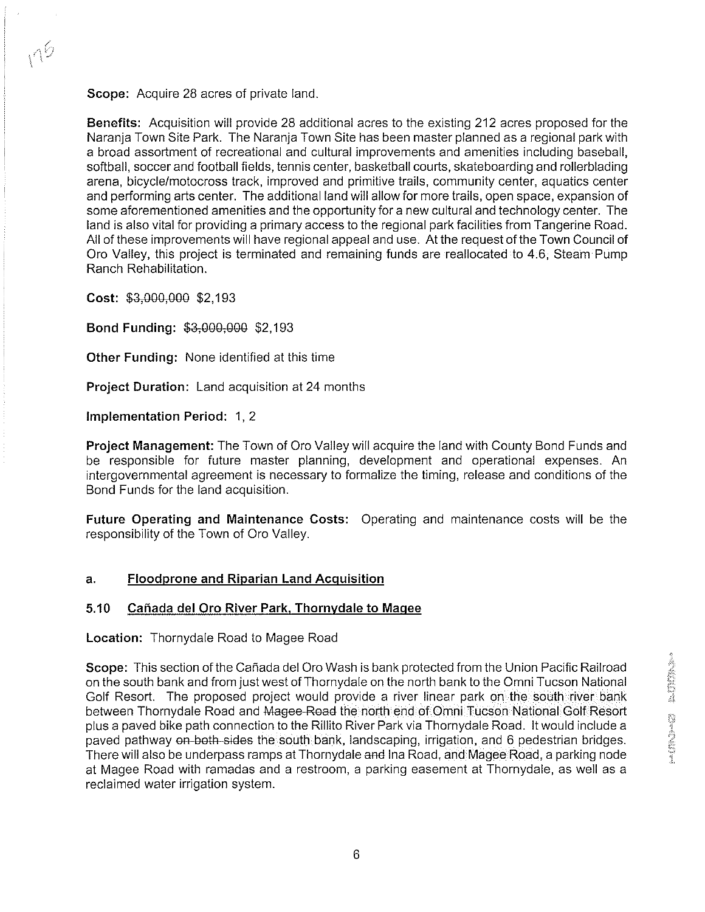Scope: Acquire 28 acres of private land.

Benefits: Acquisition will provide 28 additional acres to the existing 212 acres proposed for the Naranja Town Site Park. The Naranja Town Site has been master planned as a regional park with a broad assortment of recreational and cultural improvements and amenities including baseball, softball, soccer and football fields, tennis center, basketball courts, skateboarding and rollerblading arena, bicyclelmotocross track, improved and primitive trails, community center, aquatics center and performing arts center. The additional land will allow for more trails, open space, expansion of some aforementioned amenities and the opportunity for a new cultural and technology center. The land is also vital for providing a primary access to the regional park facilities from Tangerine Road. All of these improvements will have regional appeal and use. At the request of the Town Council of Oro Valley, this project is terminated and remaining funds are reallocated to 4.6, Steam Pump Ranch Rehabilitation.

Cost: \$3,000,000 \$2,193

 $n<sub>6</sub>$ 

Bond Funding: \$3,000,000 \$2,193

Other Funding: None identified at this time

Project Duration: Land acquisition at 24 months

Implementation Period: 1, 2

Project Management: The Town of Oro Valley will acquire the land with County Bond Funds and be responsible for future master planning, development and operational expenses. An intergovernmental agreement is necessary to formalize the timing, release and conditions of the Bond Funds for the land acquisition.

Future Operating and Maintenance Costs: Operating and maintenance costs will be the responsibility of the Town of Oro Valley.

# **a.** Floodprone and Riparian Land Acquisition

# 5.10 Cañada del Oro River Park, Thornydale to Magee

Location: Thornydale Road to Magee Road

Scope: This section of the Cañada del Oro Wash is bank protected from the Union Pacific Railroad on the south bank and from just west of Thornydale on the north bank to the Omni Tucson National Golf Resort. The proposed project would provide a river linear park on the south river bank between Thornydale Road and Magee-Road the north end of Omni Tucson National Golf Resort plus a paved bike path connection to the Rillito River Park via Thornydale Road. It would include a paved pathway on both sides the south bank, landscaping, irrigation, and 6 pedestrian bridges. There will also be underpass ramps at Thornydale and Ina Road, and Magee Road, a parking node at Magee Road with ramadas and a restroom, a parking easement at Thornydale, as well as a reclaimed water irrigation system.